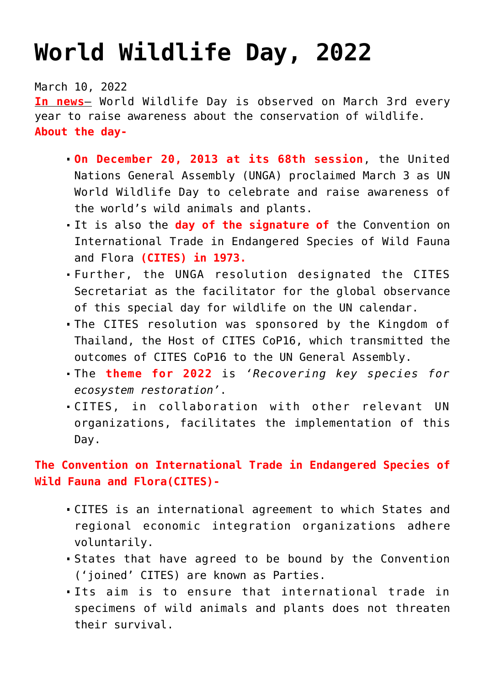## **[World Wildlife Day, 2022](https://journalsofindia.com/world-wildlife-day-2022/)**

March 10, 2022

**In news**– World Wildlife Day is observed on March 3rd every year to raise awareness about the conservation of wildlife. **About the day-**

- **On December 20, 2013 at its 68th session**, the United Nations General Assembly (UNGA) proclaimed March 3 as UN World Wildlife Day to celebrate and raise awareness of the world's wild animals and plants.
- It is also the **day of the signature of** the Convention on International Trade in Endangered Species of Wild Fauna and Flora **(CITES) in 1973.**
- Further, the UNGA resolution designated the CITES Secretariat as the facilitator for the global observance of this special day for wildlife on the UN calendar.
- The CITES resolution was sponsored by the Kingdom of Thailand, the Host of CITES CoP16, which transmitted the outcomes of CITES CoP16 to the UN General Assembly.
- The **theme for 2022** is *'Recovering key species for ecosystem restoration'*.
- CITES, in collaboration with other relevant UN organizations, facilitates the implementation of this Day.

**The Convention on International Trade in Endangered Species of Wild Fauna and Flora(CITES)-** 

- CITES is an international agreement to which States and regional economic integration organizations adhere voluntarily.
- States that have agreed to be bound by the Convention ('joined' CITES) are known as Parties.
- Its aim is to ensure that international trade in specimens of wild animals and plants does not threaten their survival.